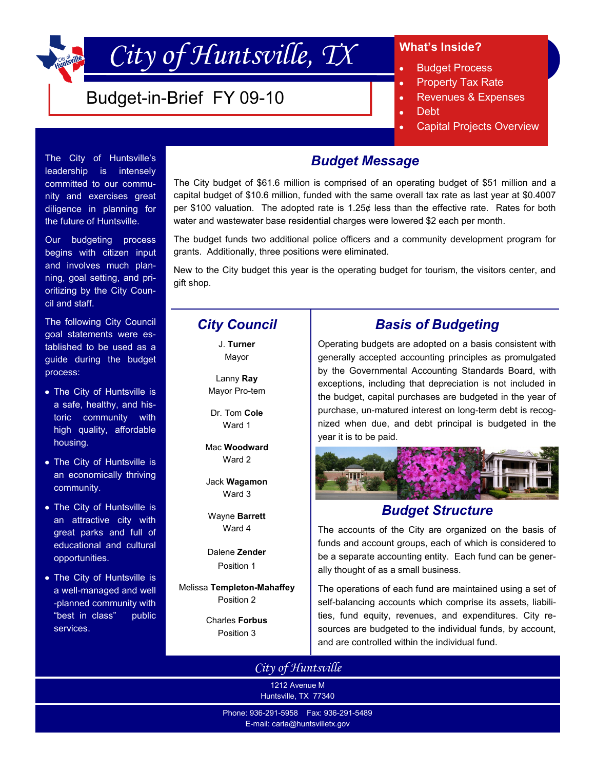# *City of Huntsville, TX*

# Budget-in-Brief FY 09-10

### **What's Inside?**

- $\bullet$ Budget Process
- Property Tax Rate  $\bullet$
- Revenues & Expenses  $\bullet$
- Debt  $\bullet$
- Capital Projects Overview ä

# *Budget Message*

The City budget of \$61.6 million is comprised of an operating budget of \$51 million and a capital budget of \$10.6 million, funded with the same overall tax rate as last year at \$0.4007 per \$100 valuation. The adopted rate is 1.25¢ less than the effective rate. Rates for both water and wastewater base residential charges were lowered \$2 each per month.

The budget funds two additional police officers and a community development program for grants. Additionally, three positions were eliminated.

New to the City budget this year is the operating budget for tourism, the visitors center, and gift shop.

# *City Council*

J. **Turner** Mayor

Lanny **Ray** Mayor Pro-tem

Dr. Tom **Cole** Ward 1

Mac **Woodward** Ward 2

Jack **Wagamon** Ward 3

Wayne **Barrett** Ward 4

Dalene **Zender** Position 1

Melissa **Templeton-Mahaffey** Position 2

> Charles **Forbus** Position 3

# *Basis of Budgeting*

Operating budgets are adopted on a basis consistent with generally accepted accounting principles as promulgated by the Governmental Accounting Standards Board, with exceptions, including that depreciation is not included in the budget, capital purchases are budgeted in the year of purchase, un-matured interest on long-term debt is recognized when due, and debt principal is budgeted in the year it is to be paid.



# *Budget Structure*

The accounts of the City are organized on the basis of funds and account groups, each of which is considered to be a separate accounting entity. Each fund can be generally thought of as a small business.

The operations of each fund are maintained using a set of self-balancing accounts which comprise its assets, liabilities, fund equity, revenues, and expenditures. City resources are budgeted to the individual funds, by account, and are controlled within the individual fund.

*City of Huntsville*

1212 Avenue M Huntsville, TX 77340

Phone: 936-291-5958 Fax: 936-291-5489 E-mail: carla@huntsvilletx.gov

### The City of Huntsville's leadership is intensely committed to our community and exercises great diligence in planning for the future of Huntsville.

Our budgeting process begins with citizen input and involves much planning, goal setting, and prioritizing by the City Council and staff.

The following City Council goal statements were established to be used as a guide during the budget process:

- The City of Huntsville is a safe, healthy, and historic community with high quality, affordable housing.
- The City of Huntsville is an economically thriving community.
- The City of Huntsville is an attractive city with great parks and full of educational and cultural opportunities.
- The City of Huntsville is a well-managed and well -planned community with "best in class" public services.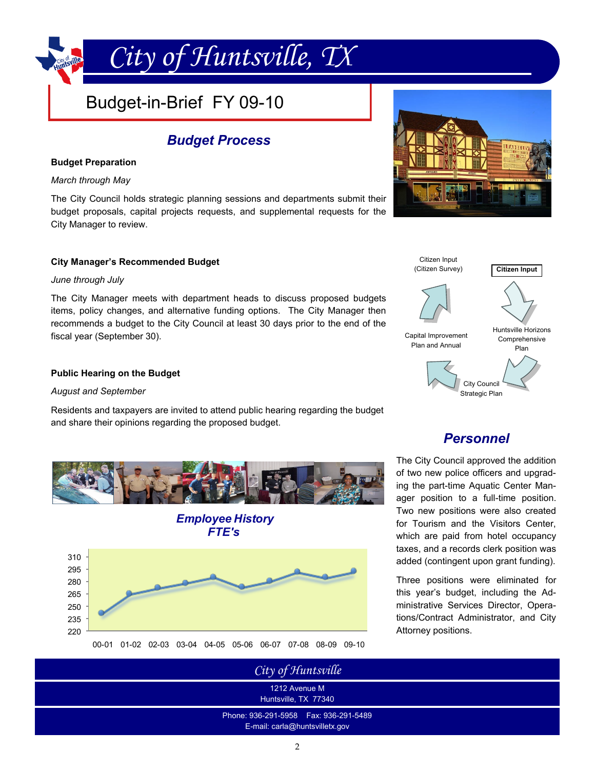# Budget-in-Brief FY 09-10

## *Budget Process*

*City of Huntsville, TX*

#### **Budget Preparation**

#### *March through May*

The City Council holds strategic planning sessions and departments submit their budget proposals, capital projects requests, and supplemental requests for the City Manager to review.

### **City Manager's Recommended Budget**

### *June through July*

The City Manager meets with department heads to discuss proposed budgets items, policy changes, and alternative funding options. The City Manager then recommends a budget to the City Council at least 30 days prior to the end of the fiscal year (September 30).

### **Public Hearing on the Budget**

#### *August and September*

Residents and taxpayers are invited to attend public hearing regarding the budget and share their opinions regarding the proposed budget.









### *Personnel*

The City Council approved the addition of two new police officers and upgrading the part-time Aquatic Center Manager position to a full-time position. Two new positions were also created for Tourism and the Visitors Center, which are paid from hotel occupancy taxes, and a records clerk position was added (contingent upon grant funding).

Three positions were eliminated for this year's budget, including the Administrative Services Director, Operations/Contract Administrator, and City Attorney positions.

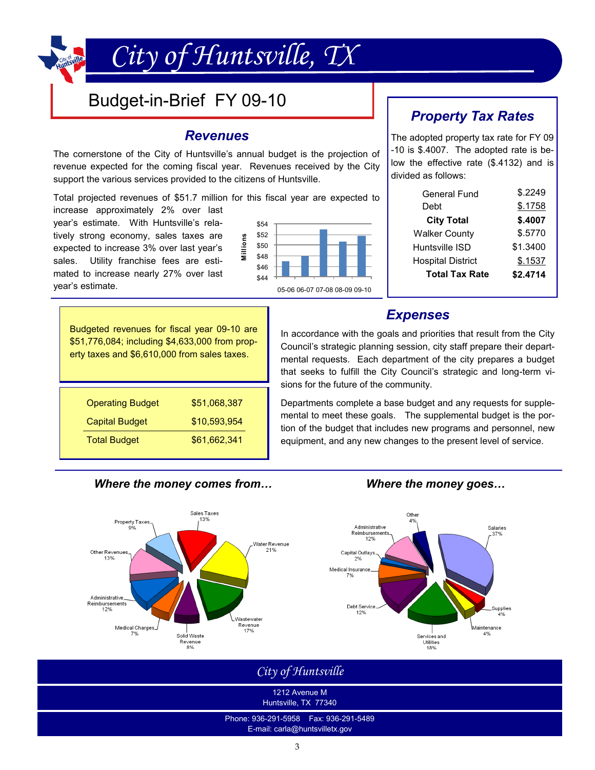# Budget-in-Brief FY 09-10

### *Revenues*

*City of Huntsville, TX*

The cornerstone of the City of Huntsville's annual budget is the projection of revenue expected for the coming fiscal year. Revenues received by the City support the various services provided to the citizens of Huntsville.

Total projected revenues of \$51.7 million for this fiscal year are expected to

increase approximately 2% over last year's estimate. With Huntsville's relatively strong economy, sales taxes are expected to increase 3% over last year's sales. Utility franchise fees are estimated to increase nearly 27% over last year's estimate.



# *Property Tax Rates*

The adopted property tax rate for FY 09 -10 is \$.4007. The adopted rate is below the effective rate (\$.4132) and is divided as follows:

| General Fund             | \$.2249  |
|--------------------------|----------|
| Debt                     | \$.1758  |
| <b>City Total</b>        | \$.4007  |
| <b>Walker County</b>     | \$.5770  |
| Huntsville ISD           | \$1.3400 |
| <b>Hospital District</b> | \$.1537  |
| <b>Total Tax Rate</b>    | \$2.4714 |
|                          |          |

### In accordance with the goals and priorities that result from the City *Expenses*

Council's strategic planning session, city staff prepare their depart-

Budgeted revenues for fiscal year 09-10 are \$51,776,084; including \$4,633,000 from property taxes and \$6,610,000 from sales taxes.

| <b>Operating Budget</b> | \$51,068,387 |
|-------------------------|--------------|
| <b>Capital Budget</b>   | \$10,593,954 |
| <b>Total Budget</b>     | \$61,662,341 |



equipment, and any new changes to the present level of service.

### *Where the money comes from… Where the money goes…*



*City of Huntsville*

1212 Avenue M Huntsville, TX 77340

Phone: 936-291-5958 Fax: 936-291-5489 E-mail: carla@huntsvilletx.gov